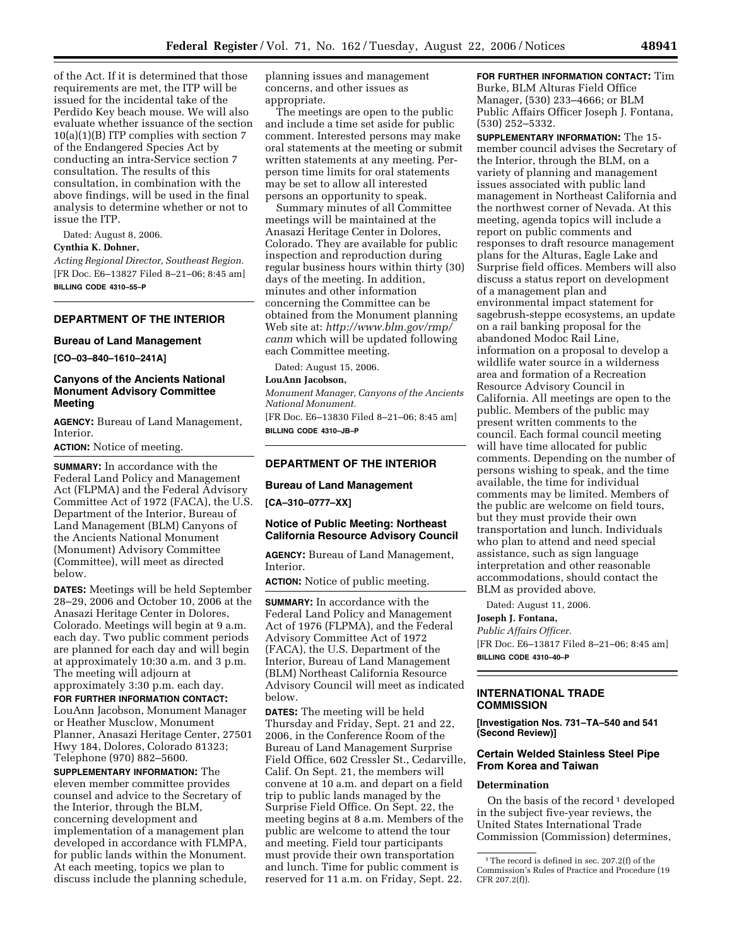of the Act. If it is determined that those requirements are met, the ITP will be issued for the incidental take of the Perdido Key beach mouse. We will also evaluate whether issuance of the section 10(a)(1)(B) ITP complies with section 7 of the Endangered Species Act by conducting an intra-Service section 7 consultation. The results of this consultation, in combination with the above findings, will be used in the final analysis to determine whether or not to issue the ITP.

Dated: August 8, 2006.

# **Cynthia K. Dohner,**

*Acting Regional Director, Southeast Region.*  [FR Doc. E6–13827 Filed 8–21–06; 8:45 am] **BILLING CODE 4310–55–P** 

# **DEPARTMENT OF THE INTERIOR**

## **Bureau of Land Management**

**[CO–03–840–1610–241A]** 

# **Canyons of the Ancients National Monument Advisory Committee Meeting**

**AGENCY:** Bureau of Land Management, Interior.

**ACTION:** Notice of meeting.

**SUMMARY:** In accordance with the Federal Land Policy and Management Act (FLPMA) and the Federal Advisory Committee Act of 1972 (FACA), the U.S. Department of the Interior, Bureau of Land Management (BLM) Canyons of the Ancients National Monument (Monument) Advisory Committee (Committee), will meet as directed below.

**DATES:** Meetings will be held September 28–29, 2006 and October 10, 2006 at the Anasazi Heritage Center in Dolores, Colorado. Meetings will begin at 9 a.m. each day. Two public comment periods are planned for each day and will begin at approximately 10:30 a.m. and 3 p.m. The meeting will adjourn at approximately 3:30 p.m. each day.

**FOR FURTHER INFORMATION CONTACT:**  LouAnn Jacobson, Monument Manager or Heather Musclow, Monument Planner, Anasazi Heritage Center, 27501 Hwy 184, Dolores, Colorado 81323; Telephone (970) 882–5600.

**SUPPLEMENTARY INFORMATION:** The eleven member committee provides counsel and advice to the Secretary of the Interior, through the BLM, concerning development and implementation of a management plan developed in accordance with FLMPA, for public lands within the Monument. At each meeting, topics we plan to discuss include the planning schedule, planning issues and management concerns, and other issues as appropriate.

The meetings are open to the public and include a time set aside for public comment. Interested persons may make oral statements at the meeting or submit written statements at any meeting. Perperson time limits for oral statements may be set to allow all interested persons an opportunity to speak.

Summary minutes of all Committee meetings will be maintained at the Anasazi Heritage Center in Dolores, Colorado. They are available for public inspection and reproduction during regular business hours within thirty (30) days of the meeting. In addition, minutes and other information concerning the Committee can be obtained from the Monument planning Web site at: *http://www.blm.gov/rmp/ canm* which will be updated following each Committee meeting.

Dated: August 15, 2006.

#### **LouAnn Jacobson,**

*Monument Manager, Canyons of the Ancients National Monument.* 

[FR Doc. E6–13830 Filed 8–21–06; 8:45 am] **BILLING CODE 4310–JB–P** 

# **DEPARTMENT OF THE INTERIOR**

#### **Bureau of Land Management**

**[CA–310–0777–XX]** 

## **Notice of Public Meeting: Northeast California Resource Advisory Council**

**AGENCY:** Bureau of Land Management, Interior.

**ACTION:** Notice of public meeting.

**SUMMARY:** In accordance with the Federal Land Policy and Management Act of 1976 (FLPMA), and the Federal Advisory Committee Act of 1972 (FACA), the U.S. Department of the Interior, Bureau of Land Management (BLM) Northeast California Resource Advisory Council will meet as indicated below.

**DATES:** The meeting will be held Thursday and Friday, Sept. 21 and 22, 2006, in the Conference Room of the Bureau of Land Management Surprise Field Office, 602 Cressler St., Cedarville, Calif. On Sept. 21, the members will convene at 10 a.m. and depart on a field trip to public lands managed by the Surprise Field Office. On Sept. 22, the meeting begins at 8 a.m. Members of the public are welcome to attend the tour and meeting. Field tour participants must provide their own transportation and lunch. Time for public comment is reserved for 11 a.m. on Friday, Sept. 22.

**FOR FURTHER INFORMATION CONTACT:** Tim Burke, BLM Alturas Field Office Manager, (530) 233–4666; or BLM Public Affairs Officer Joseph J. Fontana, (530) 252–5332.

**SUPPLEMENTARY INFORMATION:** The 15 member council advises the Secretary of the Interior, through the BLM, on a variety of planning and management issues associated with public land management in Northeast California and the northwest corner of Nevada. At this meeting, agenda topics will include a report on public comments and responses to draft resource management plans for the Alturas, Eagle Lake and Surprise field offices. Members will also discuss a status report on development of a management plan and environmental impact statement for sagebrush-steppe ecosystems, an update on a rail banking proposal for the abandoned Modoc Rail Line, information on a proposal to develop a wildlife water source in a wilderness area and formation of a Recreation Resource Advisory Council in California. All meetings are open to the public. Members of the public may present written comments to the council. Each formal council meeting will have time allocated for public comments. Depending on the number of persons wishing to speak, and the time available, the time for individual comments may be limited. Members of the public are welcome on field tours, but they must provide their own transportation and lunch. Individuals who plan to attend and need special assistance, such as sign language interpretation and other reasonable accommodations, should contact the BLM as provided above.

Dated: August 11, 2006.

#### **Joseph J. Fontana,**

*Public Affairs Officer.* 

[FR Doc. E6–13817 Filed 8–21–06; 8:45 am] **BILLING CODE 4310–40–P** 

#### **INTERNATIONAL TRADE COMMISSION**

**[Investigation Nos. 731–TA–540 and 541 (Second Review)]** 

# **Certain Welded Stainless Steel Pipe From Korea and Taiwan**

#### **Determination**

On the basis of the record<sup>1</sup> developed in the subject five-year reviews, the United States International Trade Commission (Commission) determines,

<sup>&</sup>lt;sup>1</sup>The record is defined in sec. 207.2(f) of the Commission's Rules of Practice and Procedure (19 CFR 207.2(f)).